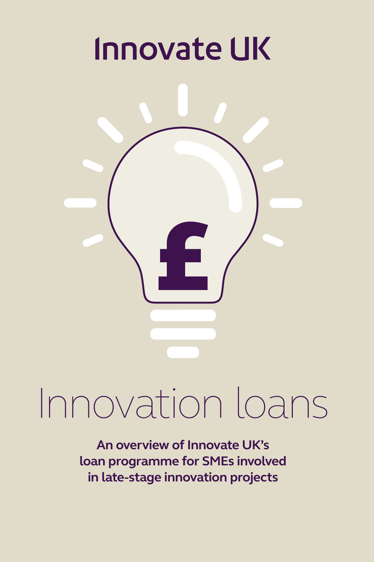## **Innovate UK**



# Innovation loans

**An overview of Innovate UK's loan programme for SMEs involved in late-stage innovation projects**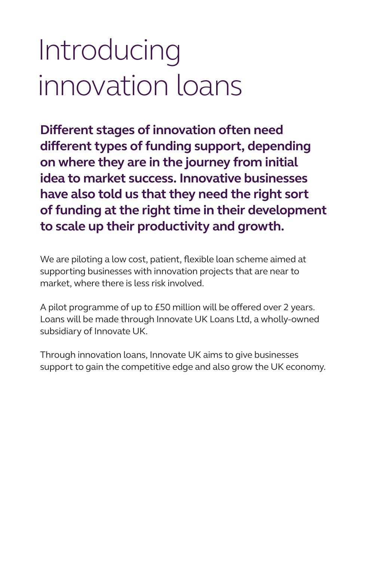### Introducing innovation loans

**Different stages of innovation often need different types of funding support, depending on where they are in the journey from initial idea to market success. Innovative businesses have also told us that they need the right sort of funding at the right time in their development to scale up their productivity and growth.**

We are piloting a low cost, patient, flexible loan scheme aimed at supporting businesses with innovation projects that are near to market, where there is less risk involved.

A pilot programme of up to £50 million will be offered over 2 years. Loans will be made through Innovate UK Loans Ltd, a wholly-owned subsidiary of Innovate UK.

Through innovation loans, Innovate UK aims to give businesses support to gain the competitive edge and also grow the UK economy.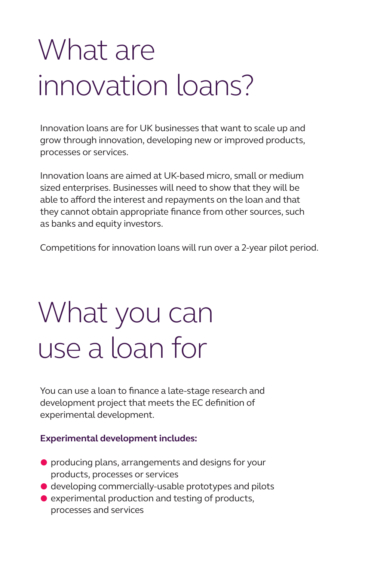### What are innovation loans?

Innovation loans are for UK businesses that want to scale up and grow through innovation, developing new or improved products, processes or services.

Innovation loans are aimed at UK-based micro, small or medium sized enterprises. Businesses will need to show that they will be able to afford the interest and repayments on the loan and that they cannot obtain appropriate finance from other sources, such as banks and equity investors.

Competitions for innovation loans will run over a 2-year pilot period.

### What you can use a loan for

You can use a loan to finance a late-stage research and development project that meets the EC definition of [experimental development.](https://www.gov.uk/guidance/innovate-uk-funding-general-guidance-for-applicants)

#### **[Experimental development includes:](https://www.gov.uk/guidance/innovate-uk-funding-general-guidance-for-applicants)**

- A producing plans, arrangements and designs for your products, processes or services
- $\bullet$  developing commercially-usable prototypes and pilots
- $\bullet$  experimental production and testing of products, processes and services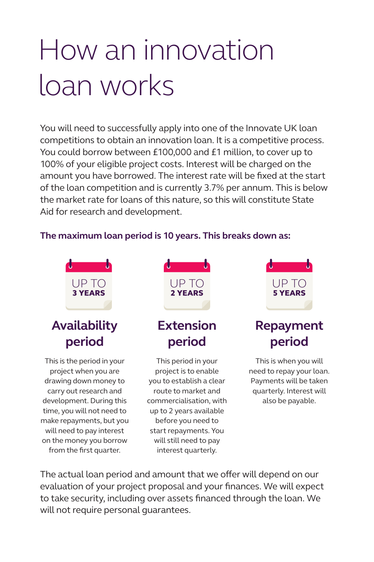### How an innovation loan works

You will need to successfully apply into one of the Innovate UK loan competitions to obtain an innovation loan. It is a competitive process. You could borrow between £100,000 and £1 million, to cover up to 100% of your eligible project costs. Interest will be charged on the amount you have borrowed. The interest rate will be fixed at the start of the loan competition and is currently 3.7% per annum. This is below the market rate for loans of this nature, so this will constitute State Aid for research and development.

#### **The maximum loan period is 10 years. This breaks down as:**



The actual loan period and amount that we offer will depend on our evaluation of your project proposal and your finances. We will expect to take security, including over assets financed through the loan. We will not require personal guarantees.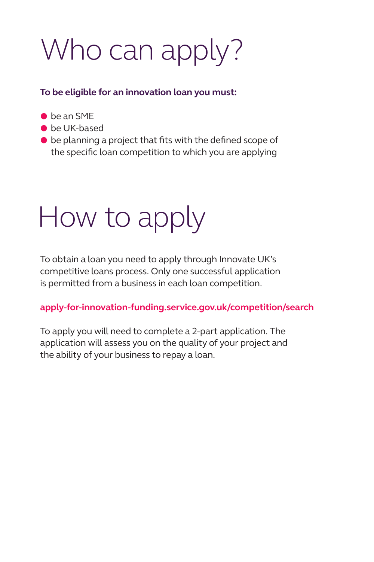### Who can apply?

#### **To be eligible for an innovation loan you must:**

- $\bullet$  be an SMF
- **•** be UK-based
- $\bullet$  be planning a project that fits with the defined scope of the specific loan competition to which you are applying

### How to apply

To obtain a loan you need to apply through Innovate UK's competitive loans process. Only one successful application is permitted from a business in each loan competition.

#### **[apply-for-innovation-funding.service.gov.uk/competition/search](http://apply-for-innovation-funding.service.gov.uk/competition/search)**

To apply you will need to complete a 2-part application. The application will assess you on the quality of your project and the ability of your business to repay a loan.